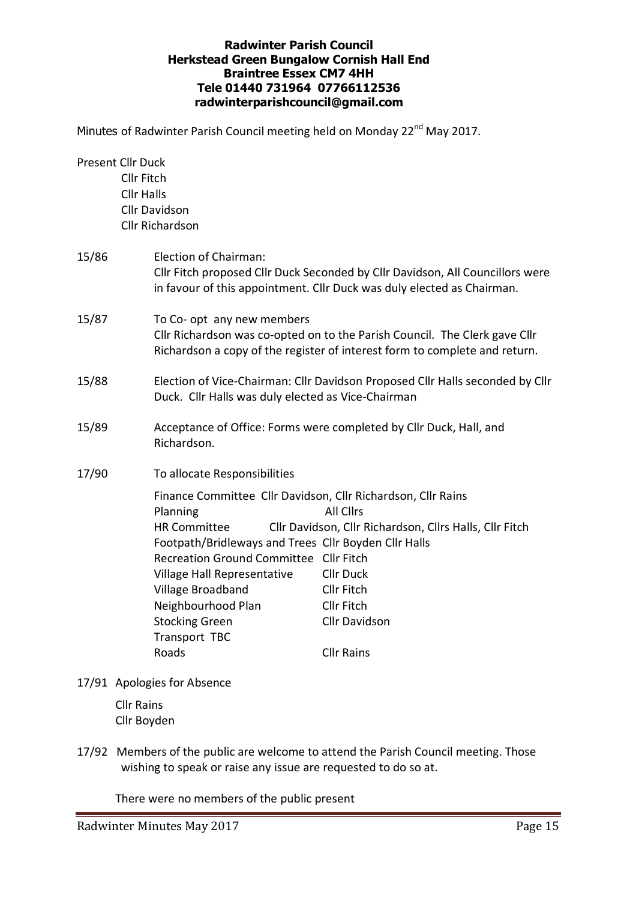# **Radwinter Parish Council Herkstead Green Bungalow Cornish Hall End Braintree Essex CM7 4HH Tele 01440 731964 07766112536 radwinterparishcouncil@gmail.com**

Minutes of Radwinter Parish Council meeting held on Monday 22<sup>nd</sup> May 2017.

| <b>Present Cllr Duck</b> |                                        |                                                                             |                                                                               |  |  |  |
|--------------------------|----------------------------------------|-----------------------------------------------------------------------------|-------------------------------------------------------------------------------|--|--|--|
|                          | <b>Cllr Fitch</b><br><b>Cllr Halls</b> |                                                                             |                                                                               |  |  |  |
|                          |                                        | <b>Cllr Davidson</b>                                                        |                                                                               |  |  |  |
|                          |                                        | <b>Cllr Richardson</b>                                                      |                                                                               |  |  |  |
|                          |                                        |                                                                             |                                                                               |  |  |  |
| 15/86                    |                                        | Election of Chairman:                                                       | Cllr Fitch proposed Cllr Duck Seconded by Cllr Davidson, All Councillors were |  |  |  |
|                          |                                        | in favour of this appointment. Cllr Duck was duly elected as Chairman.      |                                                                               |  |  |  |
| 15/87                    |                                        | To Co- opt any new members                                                  | Cllr Richardson was co-opted on to the Parish Council. The Clerk gave Cllr    |  |  |  |
|                          |                                        | Richardson a copy of the register of interest form to complete and return.  |                                                                               |  |  |  |
| 15/88                    |                                        | Duck. Cllr Halls was duly elected as Vice-Chairman                          | Election of Vice-Chairman: Cllr Davidson Proposed Cllr Halls seconded by Cllr |  |  |  |
| 15/89                    |                                        | Richardson.                                                                 | Acceptance of Office: Forms were completed by Cllr Duck, Hall, and            |  |  |  |
| 17/90                    |                                        | To allocate Responsibilities                                                |                                                                               |  |  |  |
|                          |                                        | Finance Committee Cllr Davidson, Cllr Richardson, Cllr Rains                |                                                                               |  |  |  |
|                          |                                        | Planning                                                                    | <b>All Clirs</b>                                                              |  |  |  |
|                          |                                        | <b>HR Committee</b><br>Footpath/Bridleways and Trees Cllr Boyden Cllr Halls | Cllr Davidson, Cllr Richardson, Cllrs Halls, Cllr Fitch                       |  |  |  |
|                          |                                        | Recreation Ground Committee Cllr Fitch                                      |                                                                               |  |  |  |
|                          |                                        | Village Hall Representative                                                 | <b>Cllr Duck</b>                                                              |  |  |  |
|                          |                                        | Village Broadband                                                           | <b>Cllr Fitch</b>                                                             |  |  |  |
|                          |                                        | Neighbourhood Plan                                                          | Cllr Fitch                                                                    |  |  |  |
|                          |                                        | <b>Stocking Green</b>                                                       | Cllr Davidson                                                                 |  |  |  |
|                          |                                        | Transport TBC<br>Roads                                                      | <b>Cllr Rains</b>                                                             |  |  |  |
|                          |                                        |                                                                             |                                                                               |  |  |  |

17/91 Apologies for Absence

Cllr Rains Cllr Boyden

17/92 Members of the public are welcome to attend the Parish Council meeting. Those wishing to speak or raise any issue are requested to do so at.

There were no members of the public present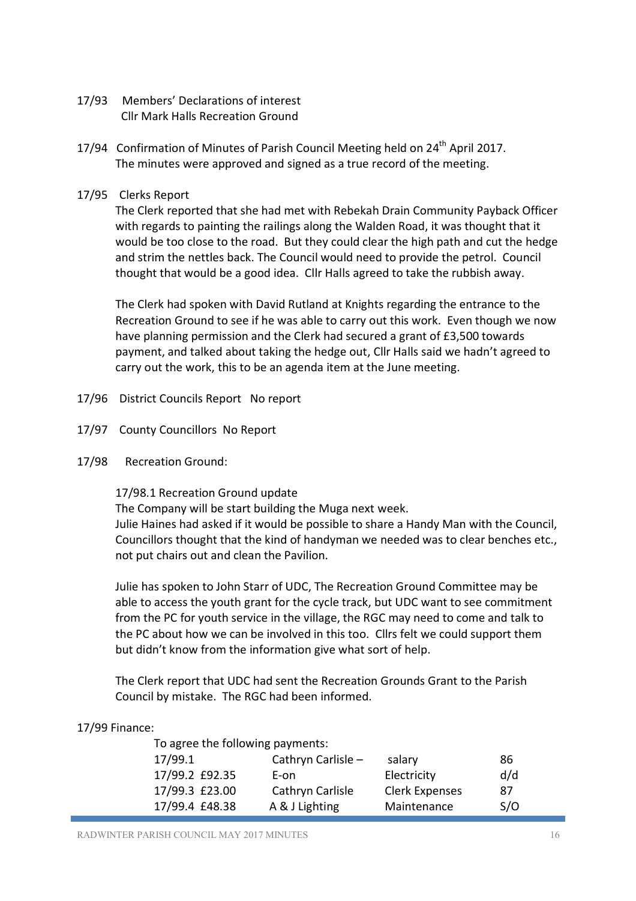- 17/93 Members' Declarations of interest Cllr Mark Halls Recreation Ground
- 17/94 Confirmation of Minutes of Parish Council Meeting held on 24<sup>th</sup> April 2017. The minutes were approved and signed as a true record of the meeting.
- 17/95 Clerks Report

The Clerk reported that she had met with Rebekah Drain Community Payback Officer with regards to painting the railings along the Walden Road, it was thought that it would be too close to the road. But they could clear the high path and cut the hedge and strim the nettles back. The Council would need to provide the petrol. Council thought that would be a good idea. Cllr Halls agreed to take the rubbish away.

The Clerk had spoken with David Rutland at Knights regarding the entrance to the Recreation Ground to see if he was able to carry out this work. Even though we now have planning permission and the Clerk had secured a grant of £3,500 towards payment, and talked about taking the hedge out, Cllr Halls said we hadn't agreed to carry out the work, this to be an agenda item at the June meeting.

- 17/96 District Councils Report No report
- 17/97 County Councillors No Report
- 17/98 Recreation Ground:

17/98.1 Recreation Ground update

The Company will be start building the Muga next week. Julie Haines had asked if it would be possible to share a Handy Man with the Council, Councillors thought that the kind of handyman we needed was to clear benches etc., not put chairs out and clean the Pavilion.

Julie has spoken to John Starr of UDC, The Recreation Ground Committee may be able to access the youth grant for the cycle track, but UDC want to see commitment from the PC for youth service in the village, the RGC may need to come and talk to the PC about how we can be involved in this too. Cllrs felt we could support them but didn't know from the information give what sort of help.

The Clerk report that UDC had sent the Recreation Grounds Grant to the Parish Council by mistake. The RGC had been informed.

## 17/99 Finance:

|                | To agree the following payments: |                       |     |
|----------------|----------------------------------|-----------------------|-----|
| 17/99.1        | Cathryn Carlisle $-$             | salary                | -86 |
| 17/99.2 £92.35 | E-on                             | Electricity           | d/d |
| 17/99.3 £23.00 | Cathryn Carlisle                 | <b>Clerk Expenses</b> | 87  |
| 17/99.4 £48.38 | A & J Lighting                   | Maintenance           | S/O |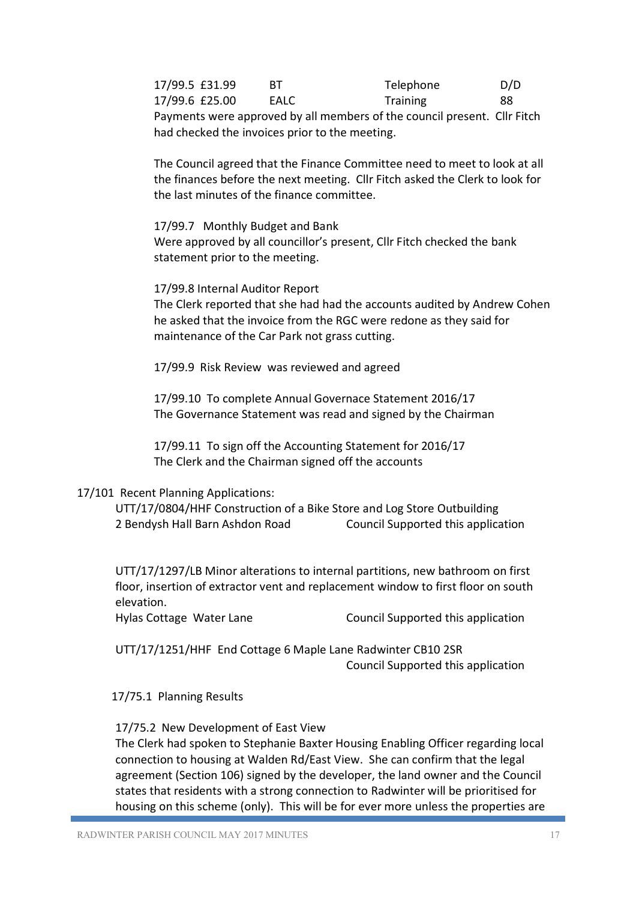17/99.5 £31.99 BT Telephone D/D 17/99.6 £25.00 EALC Training 88 Payments were approved by all members of the council present. Cllr Fitch had checked the invoices prior to the meeting.

The Council agreed that the Finance Committee need to meet to look at all the finances before the next meeting. Cllr Fitch asked the Clerk to look for the last minutes of the finance committee.

### 17/99.7 Monthly Budget and Bank

Were approved by all councillor's present, Cllr Fitch checked the bank statement prior to the meeting.

## 17/99.8 Internal Auditor Report

The Clerk reported that she had had the accounts audited by Andrew Cohen he asked that the invoice from the RGC were redone as they said for maintenance of the Car Park not grass cutting.

17/99.9 Risk Review was reviewed and agreed

 17/99.10 To complete Annual Governace Statement 2016/17 The Governance Statement was read and signed by the Chairman

 17/99.11 To sign off the Accounting Statement for 2016/17 The Clerk and the Chairman signed off the accounts

## 17/101 Recent Planning Applications:

 UTT/17/0804/HHF Construction of a Bike Store and Log Store Outbuilding 2 Bendysh Hall Barn Ashdon Road Council Supported this application

UTT/17/1297/LB Minor alterations to internal partitions, new bathroom on first floor, insertion of extractor vent and replacement window to first floor on south elevation.

Hylas Cottage Water Lane Council Supported this application

 UTT/17/1251/HHF End Cottage 6 Maple Lane Radwinter CB10 2SR Council Supported this application

17/75.1 Planning Results

## 17/75.2 New Development of East View

The Clerk had spoken to Stephanie Baxter Housing Enabling Officer regarding local connection to housing at Walden Rd/East View. She can confirm that the legal agreement (Section 106) signed by the developer, the land owner and the Council states that residents with a strong connection to Radwinter will be prioritised for housing on this scheme (only). This will be for ever more unless the properties are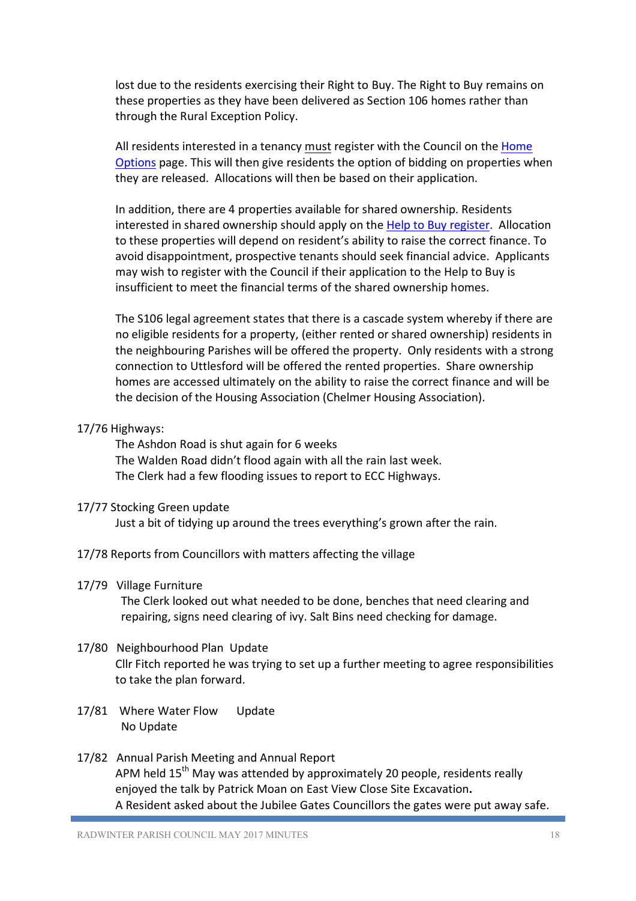lost due to the residents exercising their Right to Buy. The Right to Buy remains on these properties as they have been delivered as Section 106 homes rather than through the Rural Exception Policy.

All residents interested in a tenancy must register with the Council on the Home Options page. This will then give residents the option of bidding on properties when they are released. Allocations will then be based on their application.

In addition, there are 4 properties available for shared ownership. Residents interested in shared ownership should apply on the Help to Buy register. Allocation to these properties will depend on resident's ability to raise the correct finance. To avoid disappointment, prospective tenants should seek financial advice. Applicants may wish to register with the Council if their application to the Help to Buy is insufficient to meet the financial terms of the shared ownership homes.

The S106 legal agreement states that there is a cascade system whereby if there are no eligible residents for a property, (either rented or shared ownership) residents in the neighbouring Parishes will be offered the property. Only residents with a strong connection to Uttlesford will be offered the rented properties. Share ownership homes are accessed ultimately on the ability to raise the correct finance and will be the decision of the Housing Association (Chelmer Housing Association).

## 17/76 Highways:

 The Ashdon Road is shut again for 6 weeks The Walden Road didn't flood again with all the rain last week. The Clerk had a few flooding issues to report to ECC Highways.

## 17/77 Stocking Green update

Just a bit of tidying up around the trees everything's grown after the rain.

17/78 Reports from Councillors with matters affecting the village

## 17/79 Village Furniture

The Clerk looked out what needed to be done, benches that need clearing and repairing, signs need clearing of ivy. Salt Bins need checking for damage.

## 17/80 Neighbourhood Plan Update

Cllr Fitch reported he was trying to set up a further meeting to agree responsibilities to take the plan forward.

- 17/81 Where Water Flow Update No Update
- 17/82 Annual Parish Meeting and Annual Report APM held 15<sup>th</sup> May was attended by approximately 20 people, residents really enjoyed the talk by Patrick Moan on East View Close Site Excavation**.**  A Resident asked about the Jubilee Gates Councillors the gates were put away safe.